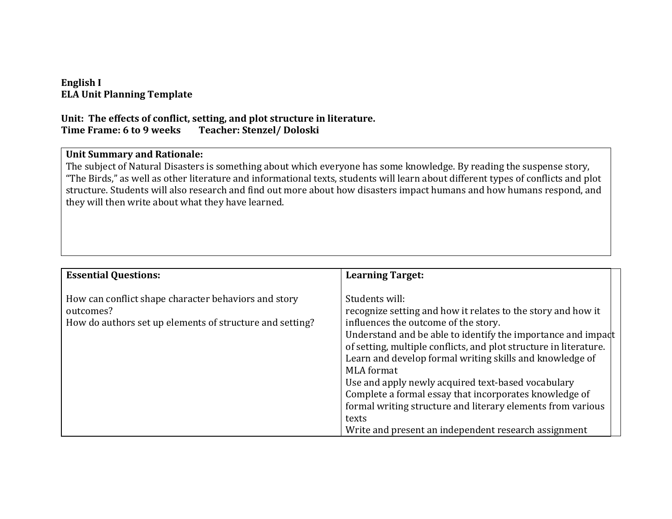# **English I ELA Unit Planning Template**

#### **Unit: The effects of conflict, setting, and plot structure in literature. Time Frame: 6 to 9 weeks Teacher: Stenzel/ Doloski**

#### **Unit Summary and Rationale:**

The subject of Natural Disasters is something about which everyone has some knowledge. By reading the suspense story, "The Birds," as well as other literature and informational texts, students will learn about different types of conflicts and plot structure. Students will also research and find out more about how disasters impact humans and how humans respond, and they will then write about what they have learned.

| <b>Essential Questions:</b>                                                                                                   | <b>Learning Target:</b>                                                                                                                                                                                                                                                                                                                                                                                                                                                                                                                                                                      |  |
|-------------------------------------------------------------------------------------------------------------------------------|----------------------------------------------------------------------------------------------------------------------------------------------------------------------------------------------------------------------------------------------------------------------------------------------------------------------------------------------------------------------------------------------------------------------------------------------------------------------------------------------------------------------------------------------------------------------------------------------|--|
| How can conflict shape character behaviors and story<br>outcomes?<br>How do authors set up elements of structure and setting? | Students will:<br>recognize setting and how it relates to the story and how it<br>influences the outcome of the story.<br>Understand and be able to identify the importance and impadt<br>of setting, multiple conflicts, and plot structure in literature.<br>Learn and develop formal writing skills and knowledge of<br><b>MLA</b> format<br>Use and apply newly acquired text-based vocabulary<br>Complete a formal essay that incorporates knowledge of<br>formal writing structure and literary elements from various<br>texts<br>Write and present an independent research assignment |  |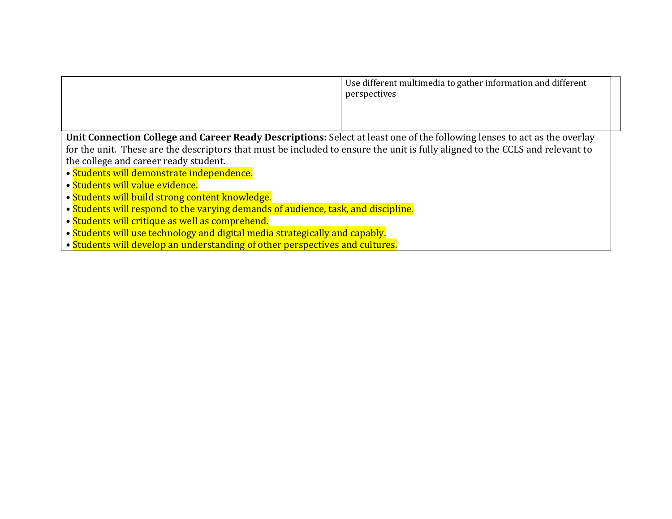|                                                                                                                               | Use different multimedia to gather information and different<br>perspectives |  |
|-------------------------------------------------------------------------------------------------------------------------------|------------------------------------------------------------------------------|--|
| Unit Connection College and Career Ready Descriptions: Select at least one of the following lenses to act as the overlay      |                                                                              |  |
|                                                                                                                               |                                                                              |  |
| for the unit. These are the descriptors that must be included to ensure the unit is fully aligned to the CCLS and relevant to |                                                                              |  |
| the college and career ready student.                                                                                         |                                                                              |  |
| • Students will demonstrate independence.                                                                                     |                                                                              |  |
| • Students will value evidence.                                                                                               |                                                                              |  |
| • Students will build strong content knowledge.                                                                               |                                                                              |  |
| • Students will respond to the varying demands of audience, task, and discipline.                                             |                                                                              |  |
| • Students will critique as well as comprehend.                                                                               |                                                                              |  |
| • Students will use technology and digital media strategically and capably.                                                   |                                                                              |  |
| • Students will develop an understanding of other perspectives and cultures.                                                  |                                                                              |  |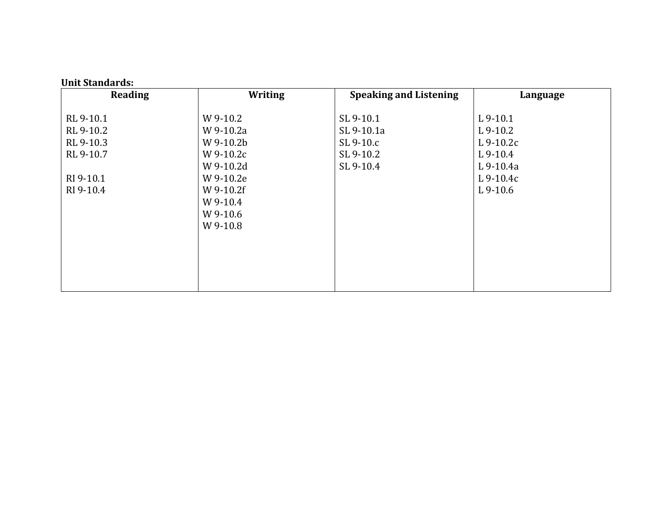| <b>Reading</b> | <b>Writing</b> | <b>Speaking and Listening</b> | Language   |
|----------------|----------------|-------------------------------|------------|
|                |                |                               |            |
| RL 9-10.1      | W 9-10.2       | SL 9-10.1                     | $L$ 9-10.1 |
| RL 9-10.2      | W 9-10.2a      | SL 9-10.1a                    | $L$ 9-10.2 |
| RL 9-10.3      | W 9-10.2b      | SL 9-10.c                     | $L9-10.2c$ |
| RL 9-10.7      | W 9-10.2c      | SL 9-10.2                     | $L$ 9-10.4 |
|                | W 9-10.2d      | SL 9-10.4                     | L 9-10.4a  |
| RI 9-10.1      | W 9-10.2e      |                               | $L9-10.4c$ |
| RI 9-10.4      | W 9-10.2f      |                               | $L$ 9-10.6 |
|                | W 9-10.4       |                               |            |
|                | W 9-10.6       |                               |            |
|                | W 9-10.8       |                               |            |
|                |                |                               |            |
|                |                |                               |            |
|                |                |                               |            |
|                |                |                               |            |
|                |                |                               |            |

#### **Unit Standards:**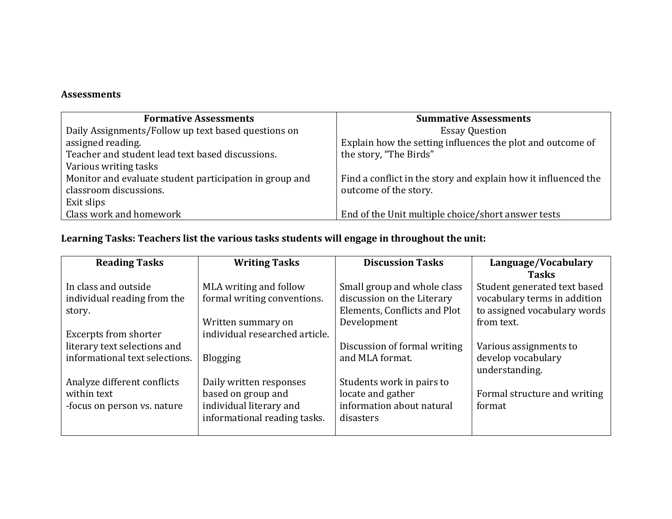# **Assessments**

| <b>Formative Assessments</b>                            | <b>Summative Assessments</b>                                   |
|---------------------------------------------------------|----------------------------------------------------------------|
| Daily Assignments/Follow up text based questions on     | <b>Essay Question</b>                                          |
| assigned reading.                                       | Explain how the setting influences the plot and outcome of     |
| Teacher and student lead text based discussions.        | the story, "The Birds"                                         |
| Various writing tasks                                   |                                                                |
| Monitor and evaluate student participation in group and | Find a conflict in the story and explain how it influenced the |
| classroom discussions.                                  | outcome of the story.                                          |
| Exit slips                                              |                                                                |
| Class work and homework                                 | End of the Unit multiple choice/short answer tests             |

# **Learning Tasks: Teachers list the various tasks students will engage in throughout the unit:**

| <b>Reading Tasks</b>           | <b>Writing Tasks</b>           | <b>Discussion Tasks</b>      | Language/Vocabulary          |
|--------------------------------|--------------------------------|------------------------------|------------------------------|
|                                |                                |                              | <b>Tasks</b>                 |
| In class and outside           | MLA writing and follow         | Small group and whole class  | Student generated text based |
| individual reading from the    | formal writing conventions.    | discussion on the Literary   | vocabulary terms in addition |
| story.                         |                                | Elements, Conflicts and Plot | to assigned vocabulary words |
|                                | Written summary on             | Development                  | from text.                   |
| <b>Excerpts from shorter</b>   | individual researched article. |                              |                              |
| literary text selections and   |                                | Discussion of formal writing | Various assignments to       |
| informational text selections. | <b>Blogging</b>                | and MLA format.              | develop vocabulary           |
|                                |                                |                              | understanding.               |
| Analyze different conflicts    | Daily written responses        | Students work in pairs to    |                              |
| within text                    | based on group and             | locate and gather            | Formal structure and writing |
| -focus on person vs. nature    | individual literary and        | information about natural    | format                       |
|                                | informational reading tasks.   | disasters                    |                              |
|                                |                                |                              |                              |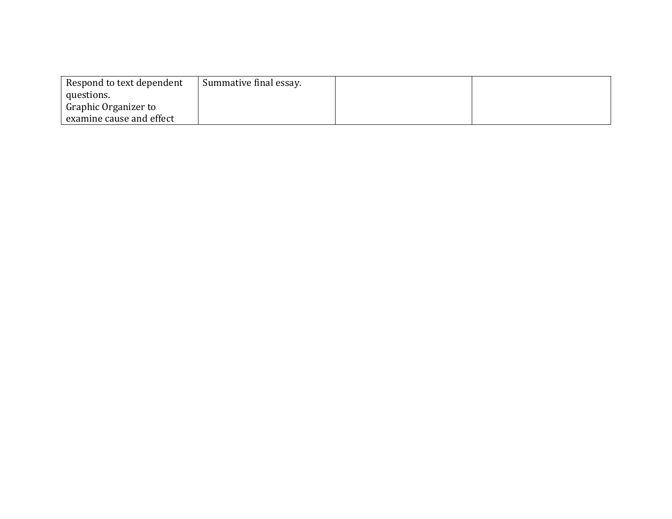| Respond to text dependent | Summative final essay. |  |  |
|---------------------------|------------------------|--|--|
| questions.                |                        |  |  |
| Graphic Organizer to      |                        |  |  |
| examine cause and effect  |                        |  |  |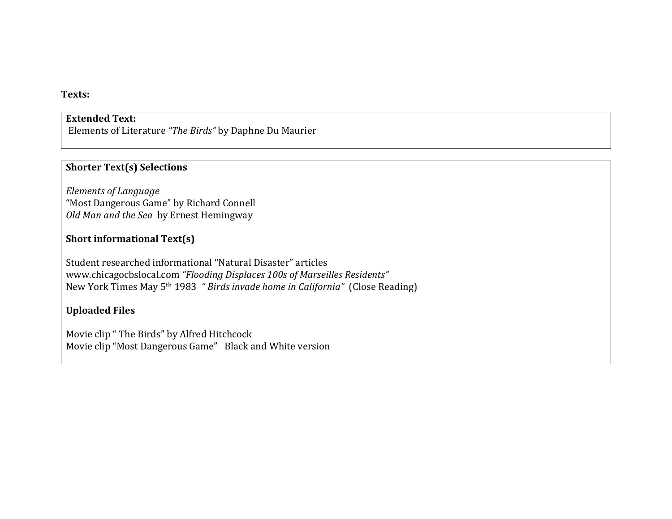#### **Texts:**

# **Extended Text:**

Elements of Literature *"The Birds"* by Daphne Du Maurier

#### **Shorter Text(s) Selections**

*Elements of Language*  "Most Dangerous Game" by Richard Connell *Old Man and the Sea* by Ernest Hemingway

# **Short informational Text(s)**

Student researched informational "Natural Disaster" articles www.chicagocbslocal.com *"Flooding Displaces 100s of Marseilles Residents"* New York Times May 5th 1983 *" Birds invade home in California"* (Close Reading)

# **Uploaded Files**

Movie clip " The Birds" by Alfred Hitchcock Movie clip "Most Dangerous Game" Black and White version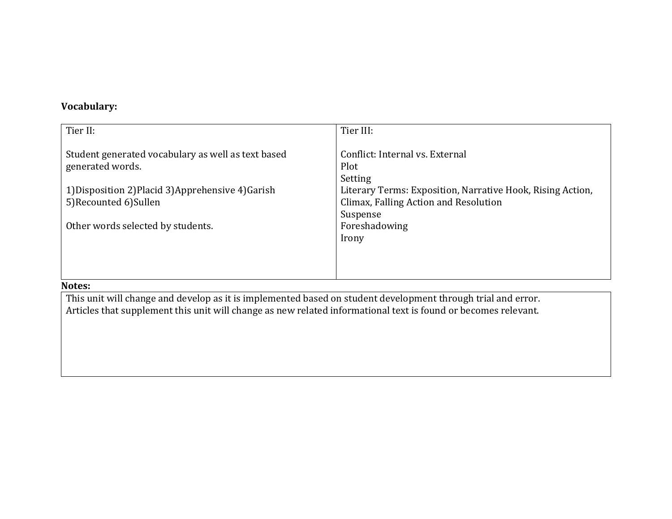# **Vocabulary:**

| Tier III:                                                  |
|------------------------------------------------------------|
|                                                            |
| Conflict: Internal vs. External                            |
| Plot                                                       |
| Setting                                                    |
| Literary Terms: Exposition, Narrative Hook, Rising Action, |
| Climax, Falling Action and Resolution                      |
| Suspense                                                   |
| Foreshadowing                                              |
| Irony                                                      |
|                                                            |
|                                                            |
|                                                            |
|                                                            |

#### **Notes:**

This unit will change and develop as it is implemented based on student development through trial and error. Articles that supplement this unit will change as new related informational text is found or becomes relevant.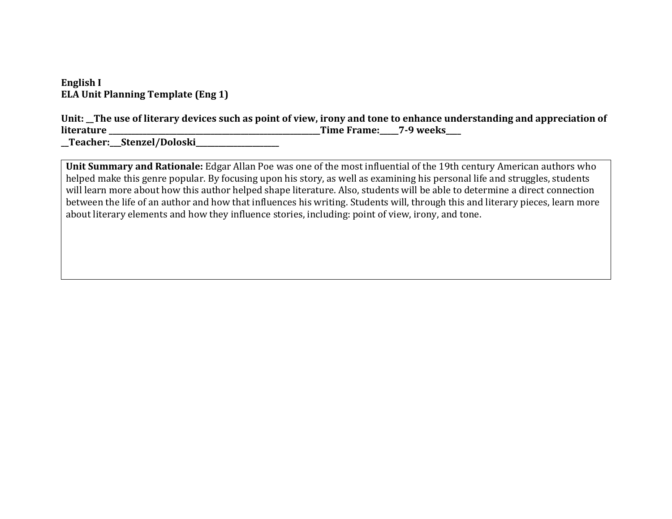**English I ELA Unit Planning Template (Eng 1)**

**Unit: \_\_The use of literary devices such as point of view, irony and tone to enhance understanding and appreciation of literature literature literature** *literature literature* **<b>***lime Frame: 7-9 weeks* 

**\_\_Teacher:\_\_\_Stenzel/Doloski\_\_\_\_\_\_\_\_\_\_\_\_\_\_\_\_\_\_\_\_\_\_**

**Unit Summary and Rationale:** Edgar Allan Poe was one of the most influential of the 19th century American authors who helped make this genre popular. By focusing upon his story, as well as examining his personal life and struggles, students will learn more about how this author helped shape literature. Also, students will be able to determine a direct connection between the life of an author and how that influences his writing. Students will, through this and literary pieces, learn more about literary elements and how they influence stories, including: point of view, irony, and tone.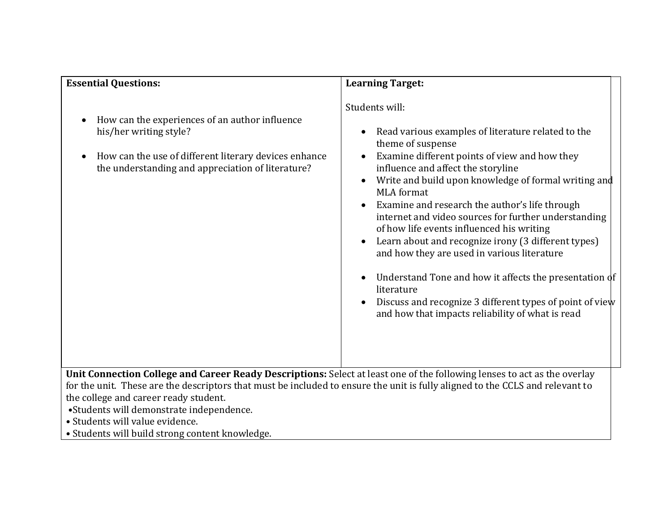| <b>Essential Questions:</b>                                                                                                                                                                                                                                                                                                                                                                                                          | <b>Learning Target:</b>                                                                                                                                                                                                                                                                                                                                                                                                                                                                                                                                                                                                                                                                                            |
|--------------------------------------------------------------------------------------------------------------------------------------------------------------------------------------------------------------------------------------------------------------------------------------------------------------------------------------------------------------------------------------------------------------------------------------|--------------------------------------------------------------------------------------------------------------------------------------------------------------------------------------------------------------------------------------------------------------------------------------------------------------------------------------------------------------------------------------------------------------------------------------------------------------------------------------------------------------------------------------------------------------------------------------------------------------------------------------------------------------------------------------------------------------------|
| How can the experiences of an author influence<br>his/her writing style?<br>How can the use of different literary devices enhance<br>the understanding and appreciation of literature?                                                                                                                                                                                                                                               | Students will:<br>Read various examples of literature related to the<br>theme of suspense<br>Examine different points of view and how they<br>influence and affect the storyline<br>Write and build upon knowledge of formal writing and<br><b>MLA</b> format<br>Examine and research the author's life through<br>internet and video sources for further understanding<br>of how life events influenced his writing<br>Learn about and recognize irony (3 different types)<br>and how they are used in various literature<br>Understand Tone and how it affects the presentation of<br>literature<br>Discuss and recognize 3 different types of point of view<br>and how that impacts reliability of what is read |
| Unit Connection College and Career Ready Descriptions: Select at least one of the following lenses to act as the overlay<br>for the unit. These are the descriptors that must be included to ensure the unit is fully aligned to the CCLS and relevant to<br>the college and career ready student.<br>•Students will demonstrate independence.<br>• Students will value evidence.<br>• Students will build strong content knowledge. |                                                                                                                                                                                                                                                                                                                                                                                                                                                                                                                                                                                                                                                                                                                    |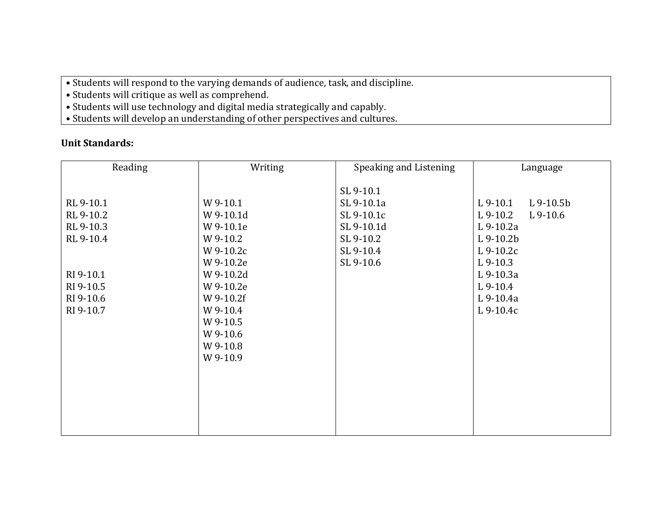- Students will respond to the varying demands of audience, task, and discipline.
- Students will critique as well as comprehend.
- Students will use technology and digital media strategically and capably.
- Students will develop an understanding of other perspectives and cultures.

# **Unit Standards:**

| Reading<br>Writing                                                                                                                                                                                                                                                                  | Speaking and Listening                                                                     | Language                                                                                                                                                         |
|-------------------------------------------------------------------------------------------------------------------------------------------------------------------------------------------------------------------------------------------------------------------------------------|--------------------------------------------------------------------------------------------|------------------------------------------------------------------------------------------------------------------------------------------------------------------|
| RL 9-10.1<br>W 9-10.1<br>RL 9-10.2<br>W 9-10.1d<br>RL 9-10.3<br>W 9-10.1e<br>RL 9-10.4<br>W 9-10.2<br>W 9-10.2c<br>W 9-10.2e<br>RI 9-10.1<br>W 9-10.2d<br>RI 9-10.5<br>W 9-10.2e<br>RI 9-10.6<br>W 9-10.2f<br>RI 9-10.7<br>W 9-10.4<br>W 9-10.5<br>W 9-10.6<br>W 9-10.8<br>W 9-10.9 | SL 9-10.1<br>SL 9-10.1a<br>SL 9-10.1c<br>SL 9-10.1d<br>SL 9-10.2<br>SL 9-10.4<br>SL 9-10.6 | $L9-10.5b$<br>$L$ 9-10.1<br>$L9-10.2$<br>$L$ 9-10.6<br>L 9-10.2a<br>$L9-10.2b$<br>$L9-10.2c$<br>$L9-10.3$<br>$L9-10.3a$<br>$L9-10.4$<br>$L9-10.4a$<br>$L9-10.4c$ |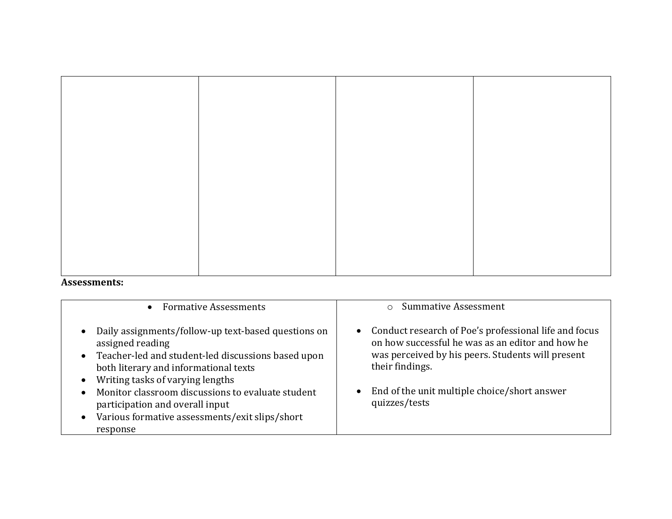#### **Assessments:**

| <b>Formative Assessments</b><br>$\bullet$                                                                                                                                                                                                                                                                                                            | <b>Summative Assessment</b>                                                                                                                                                                                                                        |
|------------------------------------------------------------------------------------------------------------------------------------------------------------------------------------------------------------------------------------------------------------------------------------------------------------------------------------------------------|----------------------------------------------------------------------------------------------------------------------------------------------------------------------------------------------------------------------------------------------------|
| Daily assignments/follow-up text-based questions on<br>assigned reading<br>Teacher-led and student-led discussions based upon<br>both literary and informational texts<br>Writing tasks of varying lengths<br>Monitor classroom discussions to evaluate student<br>participation and overall input<br>Various formative assessments/exit slips/short | Conduct research of Poe's professional life and focus<br>on how successful he was as an editor and how he<br>was perceived by his peers. Students will present<br>their findings.<br>End of the unit multiple choice/short answer<br>quizzes/tests |
| response                                                                                                                                                                                                                                                                                                                                             |                                                                                                                                                                                                                                                    |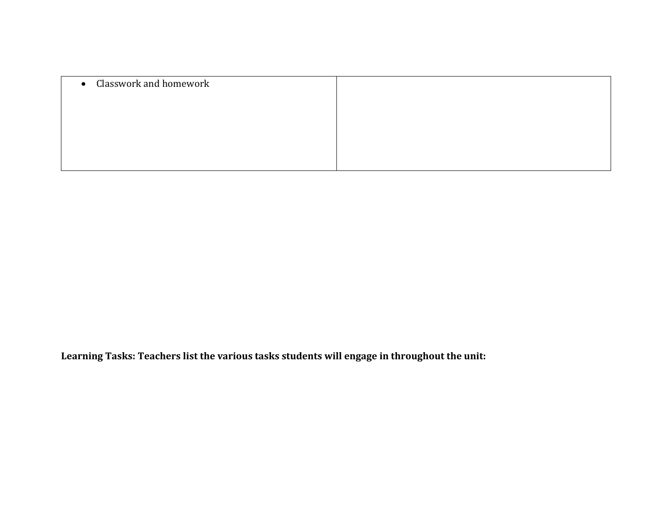| • Classwork and homework |  |
|--------------------------|--|
|                          |  |
|                          |  |
|                          |  |
|                          |  |

**Learning Tasks: Teachers list the various tasks students will engage in throughout the unit:**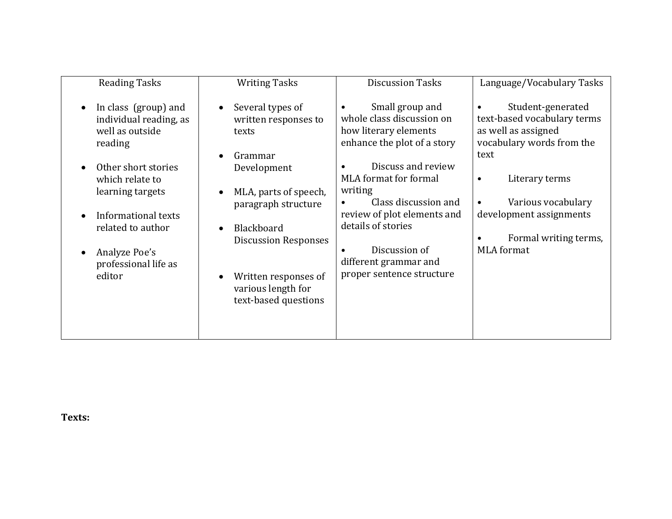| <b>Reading Tasks</b>                                                                                                                                                                                                                      | <b>Writing Tasks</b>                                                                                                                                                                                                                                                                               | <b>Discussion Tasks</b>                                                                                                                                                                                                                                                                                            | Language/Vocabulary Tasks                                                                                                                                                                                                                  |
|-------------------------------------------------------------------------------------------------------------------------------------------------------------------------------------------------------------------------------------------|----------------------------------------------------------------------------------------------------------------------------------------------------------------------------------------------------------------------------------------------------------------------------------------------------|--------------------------------------------------------------------------------------------------------------------------------------------------------------------------------------------------------------------------------------------------------------------------------------------------------------------|--------------------------------------------------------------------------------------------------------------------------------------------------------------------------------------------------------------------------------------------|
| In class (group) and<br>individual reading, as<br>well as outside<br>reading<br>Other short stories<br>which relate to<br>learning targets<br>Informational texts<br>related to author<br>Analyze Poe's<br>professional life as<br>editor | Several types of<br>$\bullet$<br>written responses to<br>texts<br>Grammar<br>Development<br>MLA, parts of speech,<br>$\bullet$<br>paragraph structure<br>Blackboard<br>$\bullet$<br><b>Discussion Responses</b><br>Written responses of<br>$\bullet$<br>various length for<br>text-based questions | Small group and<br>whole class discussion on<br>how literary elements<br>enhance the plot of a story<br>Discuss and review<br>MLA format for formal<br>writing<br>Class discussion and<br>review of plot elements and<br>details of stories<br>Discussion of<br>different grammar and<br>proper sentence structure | Student-generated<br>text-based vocabulary terms<br>as well as assigned<br>vocabulary words from the<br>text<br>Literary terms<br>$\bullet$<br>Various vocabulary<br>development assignments<br>Formal writing terms,<br><b>MLA</b> format |
|                                                                                                                                                                                                                                           |                                                                                                                                                                                                                                                                                                    |                                                                                                                                                                                                                                                                                                                    |                                                                                                                                                                                                                                            |

**Texts:**